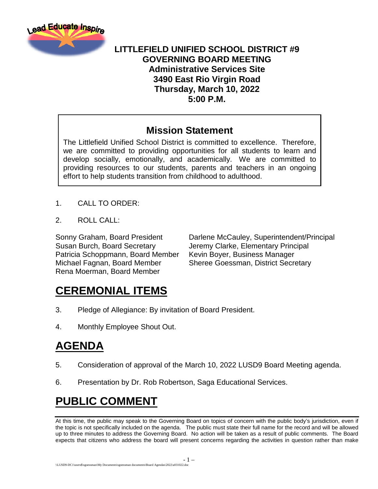

#### **LITTLEFIELD UNIFIED SCHOOL DISTRICT #9 GOVERNING BOARD MEETING Administrative Services Site 3490 East Rio Virgin Road Thursday, March 10, 2022 5:00 P.M.**

#### **Mission Statement**

The Littlefield Unified School District is committed to excellence. Therefore, we are committed to providing opportunities for all students to learn and develop socially, emotionally, and academically. We are committed to providing resources to our students, parents and teachers in an ongoing effort to help students transition from childhood to adulthood.

- 1. CALL TO ORDER:
- 2. ROLL CALL:

Susan Burch, Board Secretary Jeremy Clarke, Elementary Principal Patricia Schoppmann, Board Member Kevin Boyer, Business Manager Michael Fagnan, Board Member Sheree Goessman, District Secretary Rena Moerman, Board Member

Sonny Graham, Board President Darlene McCauley, Superintendent/Principal

# **CEREMONIAL ITEMS**

- 3. Pledge of Allegiance: By invitation of Board President.
- 4. Monthly Employee Shout Out.

# **AGENDA**

- 5. Consideration of approval of the March 10, 2022 LUSD9 Board Meeting agenda.
- 6. Presentation by Dr. Rob Robertson, Saga Educational Services.

# **PUBLIC COMMENT**

At this time, the public may speak to the Governing Board on topics of concern with the public body's jurisdiction, even if the topic is not specifically included on the agenda. The public must state their full name for the record and will be allowed up to three minutes to address the Governing Board. No action will be taken as a result of public comments. The Board expects that citizens who address the board will present concerns regarding the activities in question rather than make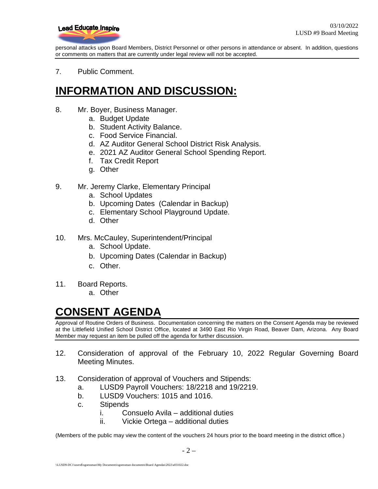

personal attacks upon Board Members, District Personnel or other persons in attendance or absent. In addition, questions or comments on matters that are currently under legal review will not be accepted.

7. Public Comment.

## **INFORMATION AND DISCUSSION:**

- 8. Mr. Boyer, Business Manager.
	- a. Budget Update
	- b. Student Activity Balance.
	- c. Food Service Financial.
	- d. AZ Auditor General School District Risk Analysis.
	- e. 2021 AZ Auditor General School Spending Report.
	- f. Tax Credit Report
	- g. Other
- 9. Mr. Jeremy Clarke, Elementary Principal
	- a. School Updates
	- b. Upcoming Dates (Calendar in Backup)
	- c. Elementary School Playground Update.
	- d. Other
- 10. Mrs. McCauley, Superintendent/Principal
	- a. School Update.
	- b. Upcoming Dates (Calendar in Backup)
	- c. Other.
- 11. Board Reports.
	- a. Other

## **CONSENT AGENDA**

Approval of Routine Orders of Business. Documentation concerning the matters on the Consent Agenda may be reviewed at the Littlefield Unified School District Office, located at 3490 East Rio Virgin Road, Beaver Dam, Arizona. Any Board Member may request an item be pulled off the agenda for further discussion.

- 12. Consideration of approval of the February 10, 2022 Regular Governing Board Meeting Minutes.
- 13. Consideration of approval of Vouchers and Stipends:
	- a. LUSD9 Payroll Vouchers: 18/2218 and 19/2219.
	- b. LUSD9 Vouchers: 1015 and 1016.
	- c. Stipends
		- i. Consuelo Avila additional duties
		- ii. Vickie Ortega additional duties

(Members of the public may view the content of the vouchers 24 hours prior to the board meeting in the district office.)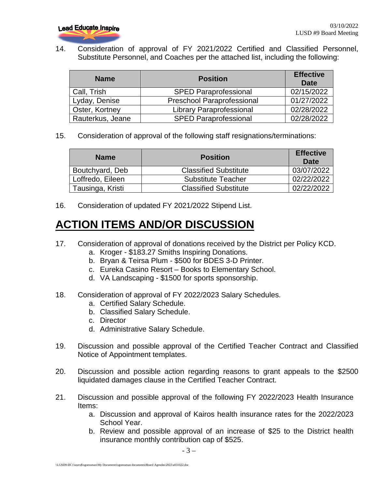

14. Consideration of approval of FY 2021/2022 Certified and Classified Personnel, Substitute Personnel, and Coaches per the attached list, including the following:

| <b>Name</b>           | <b>Position</b>                   | <b>Effective</b><br><b>Date</b> |
|-----------------------|-----------------------------------|---------------------------------|
| Call, Trish           | <b>SPED Paraprofessional</b>      | 02/15/2022                      |
| Lyday, Denise         | <b>Preschool Paraprofessional</b> | 01/27/2022                      |
| <b>Oster, Kortney</b> | <b>Library Paraprofessional</b>   | 02/28/2022                      |
| Rauterkus, Jeane      | <b>SPED Paraprofessional</b>      | 02/28/2022                      |

15. Consideration of approval of the following staff resignations/terminations:

| <b>Name</b>      | <b>Position</b>              | <b>Effective</b><br>Date |
|------------------|------------------------------|--------------------------|
| Boutchyard, Deb  | <b>Classified Substitute</b> | 03/07/2022               |
| Loffredo, Eileen | <b>Substitute Teacher</b>    | 02/22/2022               |
| Tausinga, Kristi | <b>Classified Substitute</b> | 02/22/2022               |

16. Consideration of updated FY 2021/2022 Stipend List.

# **ACTION ITEMS AND/OR DISCUSSION**

- 17. Consideration of approval of donations received by the District per Policy KCD.
	- a. Kroger \$183.27 Smiths Inspiring Donations.
	- b. Bryan & Teirsa Plum \$500 for BDES 3-D Printer.
	- c. Eureka Casino Resort Books to Elementary School.
	- d. VA Landscaping \$1500 for sports sponsorship.
- 18. Consideration of approval of FY 2022/2023 Salary Schedules.
	- a. Certified Salary Schedule.
	- b. Classified Salary Schedule.
	- c. Director
	- d. Administrative Salary Schedule.
- 19. Discussion and possible approval of the Certified Teacher Contract and Classified Notice of Appointment templates.
- 20. Discussion and possible action regarding reasons to grant appeals to the \$2500 liquidated damages clause in the Certified Teacher Contract.
- 21. Discussion and possible approval of the following FY 2022/2023 Health Insurance Items:
	- a. Discussion and approval of Kairos health insurance rates for the 2022/2023 School Year.
	- b. Review and possible approval of an increase of \$25 to the District health insurance monthly contribution cap of \$525.